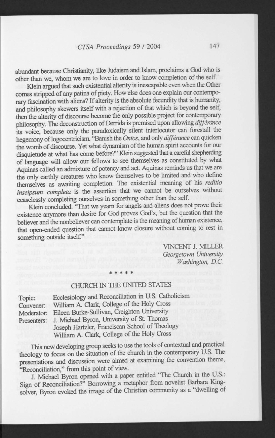abundant because Christianity, like Judaism and Islam, proclaims a God who is other than we, whom we are to love in order to know completion of the self.

Klein argued that such existential alterity is inescapable even when the Other comes stripped of any patina of piety. How else does one explain our contemporary fascination with aliens? If alterity is the absolute fecundity that is humanity, and philosophy skewers itself with a rejection of that which is beyond the self, then the alterity of discourse become the only possible project for contemporary philosophy. The deconstruction of Derrida is premised upon allowing *diffenmce*  its voice, because only the paradoxically silent interlocutor can forestall the hegemony of logocentricism. "Banish the *Ontos,* and only *diffenmce* can quicken the womb of discourse. Yet what dynamism of the human spirit accounts for our disquietude at what has come before?" Klein suggested that a careful shepherding of language will allow our fellows to see themselves as constituted by what Aquinas called an admixture of potency and act. Aquinas reminds us that we are the only earthly creatures who know themselves to be limited and who define themselves as awaiting completion. The existential meaning of his *reditio inseipsum completa* is the assertion that we cannot be ourselves without ceaselessly completing ourselves in something other than the self.

Klein concluded: "That we yearn for angels and aliens does not prove their existence anymore than desire for God proves God's, but the question that the believer and the nonbeliever can contemplate is the meaning of human existence, that open-ended question that cannot know closure without coming to rest in something outside itself."

> VINCENT J. MILLER *Georgetown University Washington, D.C.*

## \* \* \* \* » CHURCH IN THE UNITED STATES

| Topic:      | Ecclesiology and Reconciliation in U.S. Catholicism |
|-------------|-----------------------------------------------------|
| Convener:   | William A. Clark, College of the Holy Cross         |
| Moderator:  | Eileen Burke-Sullivan, Creighton University         |
| Presenters: | J. Michael Byron, University of St. Thomas          |
|             | Joseph Hartzler, Franciscan School of Theology      |

William A. Clark, College of the Holy Cross

This new developing group seeks to use the tools of contextual and practical theology to focus on the situation of the church in the contemporary  $\dot{U}$ .S. The presentations and discussion were aimed at examining the convention theme,

"Reconciliation," from this point of view.<br>J. Michael Byron opened with a paper entitled "The Church in the U.S.: J. Michael Byron opened with a paper entitled The Church in the U.S... Sign of Reconciliation?" Borrowing a metaphor from novelist Barbara Kingsolver, Byron evoked the image of the Christian community as a "dwelling of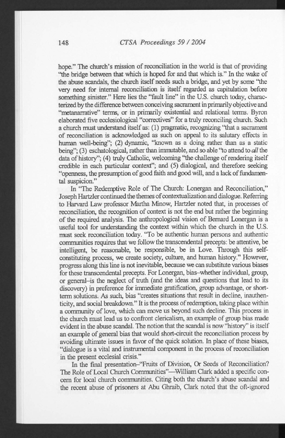hope." The church's mission of reconciliation in the world is that of providing "the bridge between that which is hoped for and that which is." In the wake of the abuse scandals, the church itself needs such a bridge, and yet by some "the very need for internal reconciliation is itself regarded as capitulation before something sinister." Here lies the "fault line" in the U.S. church today, characterized by the difference between conceiving sacrament in primarily objective and "metanarrative" terms, or in primarily existential and relational terms. Byron elaborated five ecclesiological "correctives" for a truly reconciling church. Such a church must understand itself as: (1) pragmatic, recognizing "that a sacrament of reconciliation is acknowledged as such on appeal to its salutary effects in human well-being"; (2) dynamic, "known as a doing rather than as a static being"; (3) eschatological, rather than immutable, and so able "to attend to *all* the data of history"; (4) truly Catholic, welcoming "the challenge of rendering itself credible in each particular context"; and (5) dialogical, and therefore seeking "openness, the presumption of good faith and good will, and a lack of fundamental suspicion."

In "The Redemptive Role of The Church: Lonergan and Reconciliation," Joseph Hartzler continued the themes of contextualization and dialogue. Referring to Harvard Law professor Martha Minow, Hartzler noted that, in processes of reconciliation, the recognition of context is not the end but rather the beginning of the required analysis. The anthropological vision of Bernard Lonergan is a useful tool for understanding the context within which the church in the U.S. must seek reconciliation today. 'To be authentic human persons and authentic communities requires that we follow the transcendental precepts: be attentive, be intelligent, be reasonable, be responsible, be in Love. Through this selfconstituting process, we create society, culture, and human history." However, progress along this line is not inevitable, because we can substitute various biases for these transcendental precepts. For Lonergan, bias-whether individual, group, or general-is the neglect of truth (and the ideas and questions that lead to its discovery) in preference for immediate gratification, group advantage, or shortterm solutions. As such, bias "creates situations that result in decline, inauthenticity, and social breakdown." It is the process of redemption, taking place within a community of love, which can move us beyond such decline. This process in the church must lead us to confront clericalism, an example of group bias made evident in the abuse scandal. The notion that the scandal is now "history" is itself an example of general bias that would short-circuit the reconciliation process by avoiding ultimate issues in favor of the quick solution. In place of these biases, "dialogue is a vital and instrumental component in the process of reconciliation in the present ecclesial crisis."

In the final presentation-'Truits of Division, Or Seeds of Reconciliation? The Role of Local Church Communities"—William Clark added a specific concern for local church communities. Citing both the church's abuse scandal and the recent abuse of prisoners at Abu Ghraib, Clark noted that the oft-ignored